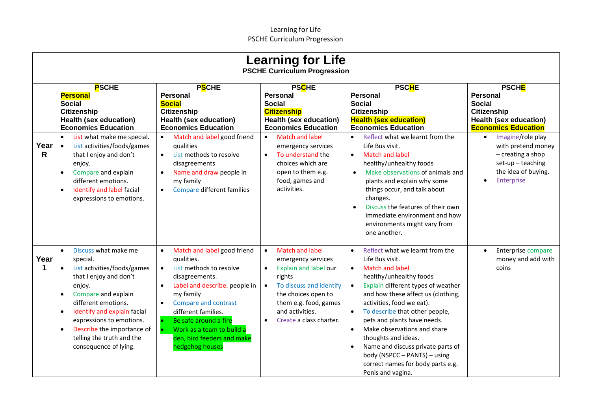|                      | <b>Learning for Life</b><br><b>PSCHE Curriculum Progression</b>                                                                                                                                                                                                                                                                                                   |                                                                                                                                                                                                                                                                                                                                                             |                                                                                                                                                                                                                                                 |                                                                                                                                                                                                                                                                                                                                                                                                                                                                                                  |                                                                                                                                                      |  |
|----------------------|-------------------------------------------------------------------------------------------------------------------------------------------------------------------------------------------------------------------------------------------------------------------------------------------------------------------------------------------------------------------|-------------------------------------------------------------------------------------------------------------------------------------------------------------------------------------------------------------------------------------------------------------------------------------------------------------------------------------------------------------|-------------------------------------------------------------------------------------------------------------------------------------------------------------------------------------------------------------------------------------------------|--------------------------------------------------------------------------------------------------------------------------------------------------------------------------------------------------------------------------------------------------------------------------------------------------------------------------------------------------------------------------------------------------------------------------------------------------------------------------------------------------|------------------------------------------------------------------------------------------------------------------------------------------------------|--|
|                      | <b>PSCHE</b><br><b>Personal</b><br><b>Social</b><br><b>Citizenship</b><br><b>Health (sex education)</b><br><b>Economics Education</b>                                                                                                                                                                                                                             | <b>PSCHE</b><br><b>Personal</b><br><b>Social</b><br><b>Citizenship</b><br><b>Health (sex education)</b><br><b>Economics Education</b>                                                                                                                                                                                                                       | <b>PSCHE</b><br><b>Personal</b><br><b>Social</b><br><b>Citizenship</b><br><b>Health (sex education)</b><br><b>Economics Education</b>                                                                                                           | <b>PSCHE</b><br><b>Personal</b><br><b>Social</b><br><b>Citizenship</b><br><b>Health (sex education)</b><br><b>Economics Education</b>                                                                                                                                                                                                                                                                                                                                                            | <b>PSCHE</b><br><b>Personal</b><br><b>Social</b><br><b>Citizenship</b><br><b>Health (sex education)</b><br><b>Economics Education</b>                |  |
| Year<br>$\mathsf{R}$ | List what make me special.<br>$\bullet$<br>List activities/foods/games<br>$\bullet$<br>that I enjoy and don't<br>enjoy.<br>Compare and explain<br>$\bullet$<br>different emotions.<br>Identify and label facial<br>$\bullet$<br>expressions to emotions.                                                                                                          | Match and label good friend<br>$\bullet$<br>qualities<br>List methods to resolve<br>$\bullet$<br>disagreements<br>Name and draw people in<br>$\bullet$<br>my family<br>Compare different families<br>$\bullet$                                                                                                                                              | <b>Match and label</b><br>$\bullet$<br>emergency services<br>To understand the<br>$\bullet$<br>choices which are<br>open to them e.g.<br>food, games and<br>activities.                                                                         | Reflect what we learnt from the<br>$\bullet$<br>Life Bus visit.<br><b>Match and label</b><br>$\bullet$<br>healthy/unhealthy foods<br>Make observations of animals and<br>$\bullet$<br>plants and explain why some<br>things occur, and talk about<br>changes.<br>Discuss the features of their own<br>$\bullet$<br>immediate environment and how<br>environments might vary from<br>one another.                                                                                                 | Imagine/role play<br>$\bullet$<br>with pretend money<br>$-$ creating a shop<br>$set-up - teaching$<br>the idea of buying.<br>Enterprise<br>$\bullet$ |  |
| Year                 | Discuss what make me<br>$\bullet$<br>special.<br>List activities/foods/games<br>$\bullet$<br>that I enjoy and don't<br>enjoy.<br>Compare and explain<br>$\bullet$<br>different emotions.<br>Identify and explain facial<br>$\bullet$<br>expressions to emotions.<br>Describe the importance of<br>$\bullet$<br>telling the truth and the<br>consequence of lying. | Match and label good friend<br>$\bullet$<br>qualities.<br>List methods to resolve<br>$\bullet$<br>disagreements.<br>Label and describe. people in<br>$\bullet$<br>my family<br>Compare and contrast<br>$\bullet$<br>different families.<br>Be safe around a fire<br>$\bullet$<br>Work as a team to build a<br>den, bird feeders and make<br>hedgehog houses | <b>Match and label</b><br>$\bullet$<br>emergency services<br>Explain and label our<br>$\bullet$<br>rights<br>To discuss and identify<br>$\bullet$<br>the choices open to<br>them e.g. food, games<br>and activities.<br>Create a class charter. | Reflect what we learnt from the<br>Life Bus visit.<br><b>Match and label</b><br>$\bullet$<br>healthy/unhealthy foods<br>Explain different types of weather<br>and how these affect us (clothing,<br>activities, food we eat).<br>To describe that other people,<br>pets and plants have needs.<br>Make observations and share<br>$\bullet$<br>thoughts and ideas.<br>Name and discuss private parts of<br>body (NSPCC - PANTS) - using<br>correct names for body parts e.g.<br>Penis and vagina. | Enterprise compare<br>$\bullet$<br>money and add with<br>coins                                                                                       |  |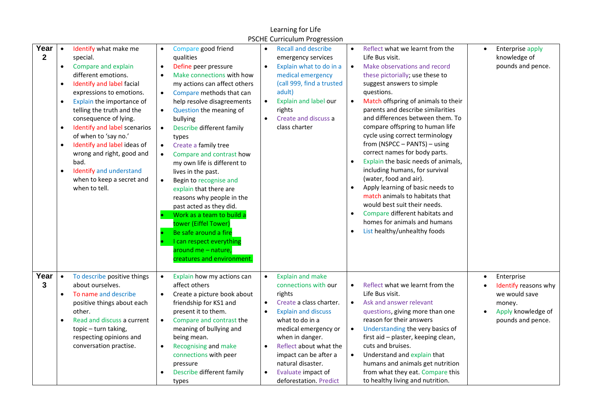|                      |                                                                                         |                                                                                                                                                                                                                                                                                                                                                                                                                                  |                                                                                                                                                                                                                                                                                                                                                                                                                                                                                                                                                                                                                                                                                                                                                                       | Learning for Life                                                                                                                                                                                                                                                                                                                                                         |                                                                                                                                                                                                                                                                                                                                                                                                                                                                                                                                                                                                                                                                                                                                                                                        |                                                                                                          |
|----------------------|-----------------------------------------------------------------------------------------|----------------------------------------------------------------------------------------------------------------------------------------------------------------------------------------------------------------------------------------------------------------------------------------------------------------------------------------------------------------------------------------------------------------------------------|-----------------------------------------------------------------------------------------------------------------------------------------------------------------------------------------------------------------------------------------------------------------------------------------------------------------------------------------------------------------------------------------------------------------------------------------------------------------------------------------------------------------------------------------------------------------------------------------------------------------------------------------------------------------------------------------------------------------------------------------------------------------------|---------------------------------------------------------------------------------------------------------------------------------------------------------------------------------------------------------------------------------------------------------------------------------------------------------------------------------------------------------------------------|----------------------------------------------------------------------------------------------------------------------------------------------------------------------------------------------------------------------------------------------------------------------------------------------------------------------------------------------------------------------------------------------------------------------------------------------------------------------------------------------------------------------------------------------------------------------------------------------------------------------------------------------------------------------------------------------------------------------------------------------------------------------------------------|----------------------------------------------------------------------------------------------------------|
| Year<br>$\mathbf{2}$ | $\bullet$<br>$\bullet$<br>$\bullet$<br>$\bullet$<br>$\bullet$<br>$\bullet$<br>$\bullet$ | Identify what make me<br>special.<br>Compare and explain<br>different emotions.<br>Identify and label facial<br>expressions to emotions.<br>Explain the importance of<br>telling the truth and the<br>consequence of lying.<br>Identify and label scenarios<br>of when to 'say no.'<br>Identify and label ideas of<br>wrong and right, good and<br>bad.<br>Identify and understand<br>when to keep a secret and<br>when to tell. | Compare good friend<br>$\bullet$<br>qualities<br>$\bullet$<br>Define peer pressure<br>Make connections with how<br>$\bullet$<br>my actions can affect others<br>Compare methods that can<br>$\bullet$<br>help resolve disagreements<br>Question the meaning of<br>$\bullet$<br>bullying<br>$\bullet$<br>Describe different family<br>types<br>Create a family tree<br>$\bullet$<br>Compare and contrast how<br>$\bullet$<br>my own life is different to<br>lives in the past.<br>Begin to recognise and<br>$\bullet$<br>explain that there are<br>reasons why people in the<br>past acted as they did.<br>Work as a team to build a<br>tower (Eiffel Tower)<br>Be safe around a fire<br>I can respect everything<br>around me - nature,<br>creatures and environment. | <b>PSCHE Curriculum Progression</b><br><b>Recall and describe</b><br>$\bullet$<br>emergency services<br>Explain what to do in a<br>$\bullet$<br>medical emergency<br>(call 999, find a trusted<br>adult)<br>Explain and label our<br>$\bullet$<br>rights<br>Create and discuss a<br>$\bullet$<br>class charter                                                            | Reflect what we learnt from the<br>$\bullet$<br>Life Bus visit.<br>Make observations and record<br>these pictorially; use these to<br>suggest answers to simple<br>questions.<br>Match offspring of animals to their<br>$\bullet$<br>parents and describe similarities<br>and differences between them. To<br>compare offspring to human life<br>cycle using correct terminology<br>from (NSPCC - PANTS) - using<br>correct names for body parts.<br>Explain the basic needs of animals,<br>$\bullet$<br>including humans, for survival<br>(water, food and air).<br>Apply learning of basic needs to<br>match animals to habitats that<br>would best suit their needs.<br>Compare different habitats and<br>homes for animals and humans<br>List healthy/unhealthy foods<br>$\bullet$ | Enterprise apply<br>knowledge of<br>pounds and pence.                                                    |
| Year<br>3            | $\bullet$<br>$\bullet$<br>$\bullet$                                                     | To describe positive things<br>about ourselves.<br>To name and describe<br>positive things about each<br>other.<br>Read and discuss a current<br>topic - turn taking,<br>respecting opinions and<br>conversation practise.                                                                                                                                                                                                       | Explain how my actions can<br>$\bullet$<br>affect others<br>Create a picture book about<br>$\bullet$<br>friendship for KS1 and<br>present it to them.<br>$\bullet$<br>Compare and contrast the<br>meaning of bullying and<br>being mean.<br><b>Recognising and make</b><br>$\bullet$<br>connections with peer<br>pressure<br>Describe different family<br>types                                                                                                                                                                                                                                                                                                                                                                                                       | <b>Explain and make</b><br>$\bullet$<br>connections with our<br>rights<br>Create a class charter.<br>$\bullet$<br><b>Explain and discuss</b><br>$\bullet$<br>what to do in a<br>medical emergency or<br>when in danger.<br>Reflect about what the<br>$\bullet$<br>impact can be after a<br>natural disaster.<br>Evaluate impact of<br>$\bullet$<br>deforestation. Predict | Reflect what we learnt from the<br>$\bullet$<br>Life Bus visit.<br>Ask and answer relevant<br>$\bullet$<br>questions, giving more than one<br>reason for their answers<br>Understanding the very basics of<br>$\bullet$<br>first aid - plaster, keeping clean,<br>cuts and bruises.<br>Understand and explain that<br>humans and animals get nutrition<br>from what they eat. Compare this<br>to healthy living and nutrition.                                                                                                                                                                                                                                                                                                                                                         | Enterprise<br>Identify reasons why<br>we would save<br>money.<br>Apply knowledge of<br>pounds and pence. |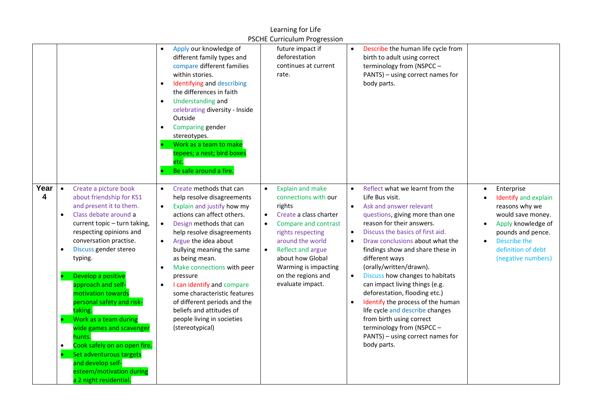## Learning for Life PSCHE Curriculum Progression

|           |                                                                                                                                                                                                                                                                                                                                                                                                                                                                                                                                                                                                   |                                                                                                                                                                                                                                                                                                                                                                                                                                                                                                                                         | TUCTLE CUTTICULUITI TURTCUSIOIT                                                                                                                                                                                                                                                                        |                                                                                                                                                                                                                                                                                                                                                                                                                                                                                                                                                                                                                                        |                                                                                                                                                                                  |
|-----------|---------------------------------------------------------------------------------------------------------------------------------------------------------------------------------------------------------------------------------------------------------------------------------------------------------------------------------------------------------------------------------------------------------------------------------------------------------------------------------------------------------------------------------------------------------------------------------------------------|-----------------------------------------------------------------------------------------------------------------------------------------------------------------------------------------------------------------------------------------------------------------------------------------------------------------------------------------------------------------------------------------------------------------------------------------------------------------------------------------------------------------------------------------|--------------------------------------------------------------------------------------------------------------------------------------------------------------------------------------------------------------------------------------------------------------------------------------------------------|----------------------------------------------------------------------------------------------------------------------------------------------------------------------------------------------------------------------------------------------------------------------------------------------------------------------------------------------------------------------------------------------------------------------------------------------------------------------------------------------------------------------------------------------------------------------------------------------------------------------------------------|----------------------------------------------------------------------------------------------------------------------------------------------------------------------------------|
|           |                                                                                                                                                                                                                                                                                                                                                                                                                                                                                                                                                                                                   | Apply our knowledge of<br>$\bullet$<br>different family types and<br>compare different families<br>within stories.<br>Identifying and describing<br>$\bullet$<br>the differences in faith<br>Understanding and<br>$\bullet$<br>celebrating diversity - Inside<br>Outside<br><b>Comparing gender</b><br>stereotypes.<br>Work as a team to make<br>tepees; a nest; bird boxes<br>etc.<br>Be safe around a fire.                                                                                                                           | future impact if<br>deforestation<br>continues at current<br>rate.                                                                                                                                                                                                                                     | Describe the human life cycle from<br>$\bullet$<br>birth to adult using correct<br>terminology from (NSPCC -<br>PANTS) - using correct names for<br>body parts.                                                                                                                                                                                                                                                                                                                                                                                                                                                                        |                                                                                                                                                                                  |
| Year<br>4 | Create a picture book<br>$\bullet$<br>about friendship for KS1<br>and present it to them.<br>Class debate around a<br>$\bullet$<br>current topic - turn taking,<br>respecting opinions and<br>conversation practise.<br>Discuss gender stereo<br>$\bullet$<br>typing.<br>Develop a positive<br>approach and self-<br>motivation towards<br>personal safety and risk-<br>taking.<br>Work as a team during<br>wide games and scavenger<br>hunts.<br>Cook safely on an open fire.<br>$\bullet$<br>Set adventurous targets<br>and develop self-<br>esteem/motivation during<br>a 2 night residential. | Create methods that can<br>$\bullet$<br>help resolve disagreements<br>Explain and justify how my<br>$\bullet$<br>actions can affect others.<br>Design methods that can<br>$\bullet$<br>help resolve disagreements<br>Argue the idea about<br>$\bullet$<br>bullying meaning the same<br>as being mean.<br>Make connections with peer<br>$\bullet$<br>pressure<br>I can identify and compare<br>some characteristic features<br>of different periods and the<br>beliefs and attitudes of<br>people living in societies<br>(stereotypical) | <b>Explain and make</b><br>$\bullet$<br>connections with our<br>rights<br>Create a class charter<br>$\bullet$<br>Compare and contrast<br>$\bullet$<br>rights respecting<br>around the world<br>Reflect and argue<br>about how Global<br>Warming is impacting<br>on the regions and<br>evaluate impact. | Reflect what we learnt from the<br>$\bullet$<br>Life Bus visit.<br>Ask and answer relevant<br>$\bullet$<br>questions, giving more than one<br>reason for their answers.<br>Discuss the basics of first aid.<br>Draw conclusions about what the<br>findings show and share these in<br>different ways<br>(orally/written/drawn).<br>Discuss how changes to habitats<br>$\bullet$<br>can impact living things (e.g.<br>deforestation, flooding etc.)<br>Identify the process of the human<br>life cycle and describe changes<br>from birth using correct<br>terminology from (NSPCC -<br>PANTS) - using correct names for<br>body parts. | Enterprise<br>Identify and explain<br>reasons why we<br>would save money.<br>Apply knowledge of<br>pounds and pence.<br>Describe the<br>definition of debt<br>(negative numbers) |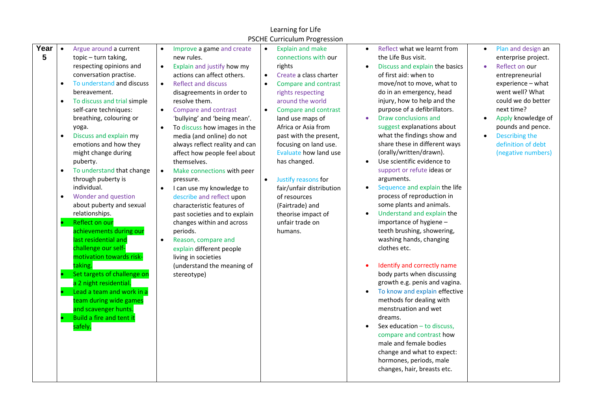|                                                                                         |                                                                                                                                                                                                                                                                                                                                                                                                                                                                                                                                                                                                                                                                                                                                                                                             |                                                                                                                                                                                                                                                                                                                                                                                                                                                                                                                                                                                                                                                                                                                                                                                                                      | Learning for Life                                                                                                                                                                                                                                                                                                                                                                                                                                                                                    |                                                                                                                                                                                                                                                                                                                                                                                                                                                                                                                                                                                                                                                                                                                                                                                                                                                                                                                                                                                                                                                                                 |                                                                                                                                                                                                                                                                                                                         |
|-----------------------------------------------------------------------------------------|---------------------------------------------------------------------------------------------------------------------------------------------------------------------------------------------------------------------------------------------------------------------------------------------------------------------------------------------------------------------------------------------------------------------------------------------------------------------------------------------------------------------------------------------------------------------------------------------------------------------------------------------------------------------------------------------------------------------------------------------------------------------------------------------|----------------------------------------------------------------------------------------------------------------------------------------------------------------------------------------------------------------------------------------------------------------------------------------------------------------------------------------------------------------------------------------------------------------------------------------------------------------------------------------------------------------------------------------------------------------------------------------------------------------------------------------------------------------------------------------------------------------------------------------------------------------------------------------------------------------------|------------------------------------------------------------------------------------------------------------------------------------------------------------------------------------------------------------------------------------------------------------------------------------------------------------------------------------------------------------------------------------------------------------------------------------------------------------------------------------------------------|---------------------------------------------------------------------------------------------------------------------------------------------------------------------------------------------------------------------------------------------------------------------------------------------------------------------------------------------------------------------------------------------------------------------------------------------------------------------------------------------------------------------------------------------------------------------------------------------------------------------------------------------------------------------------------------------------------------------------------------------------------------------------------------------------------------------------------------------------------------------------------------------------------------------------------------------------------------------------------------------------------------------------------------------------------------------------------|-------------------------------------------------------------------------------------------------------------------------------------------------------------------------------------------------------------------------------------------------------------------------------------------------------------------------|
|                                                                                         |                                                                                                                                                                                                                                                                                                                                                                                                                                                                                                                                                                                                                                                                                                                                                                                             |                                                                                                                                                                                                                                                                                                                                                                                                                                                                                                                                                                                                                                                                                                                                                                                                                      | <b>PSCHE Curriculum Progression</b>                                                                                                                                                                                                                                                                                                                                                                                                                                                                  |                                                                                                                                                                                                                                                                                                                                                                                                                                                                                                                                                                                                                                                                                                                                                                                                                                                                                                                                                                                                                                                                                 |                                                                                                                                                                                                                                                                                                                         |
| Year<br>$\bullet$<br>5<br>$\bullet$<br>$\bullet$<br>$\bullet$<br>$\bullet$<br>$\bullet$ | Argue around a current<br>topic - turn taking,<br>respecting opinions and<br>conversation practise.<br>To understand and discuss<br>bereavement.<br>To discuss and trial simple<br>self-care techniques:<br>breathing, colouring or<br>yoga.<br>Discuss and explain my<br>emotions and how they<br>might change during<br>puberty.<br>To understand that change<br>through puberty is<br>individual.<br>Wonder and question<br>about puberty and sexual<br>relationships.<br>Reflect on our<br>achievements during our<br>last residential and<br>challenge our self-<br>motivation towards risk-<br>taking.<br>Set targets of challenge on<br>a 2 night residential.<br>Lead a team and work in a<br>team during wide games<br>and scavenger hunts.<br>Build a fire and tent it<br>safely. | Improve a game and create<br>$\bullet$<br>new rules.<br>Explain and justify how my<br>$\bullet$<br>actions can affect others.<br><b>Reflect and discuss</b><br>$\bullet$<br>disagreements in order to<br>resolve them.<br>Compare and contrast<br>$\bullet$<br>'bullying' and 'being mean'.<br>To discuss how images in the<br>$\bullet$<br>media (and online) do not<br>always reflect reality and can<br>affect how people feel about<br>themselves.<br>Make connections with peer<br>$\bullet$<br>pressure.<br>I can use my knowledge to<br>describe and reflect upon<br>characteristic features of<br>past societies and to explain<br>changes within and across<br>periods.<br>Reason, compare and<br>$\bullet$<br>explain different people<br>living in societies<br>(understand the meaning of<br>stereotype) | <b>Explain and make</b><br>$\bullet$<br>connections with our<br>rights<br>Create a class charter<br>$\bullet$<br>Compare and contrast<br>$\bullet$<br>rights respecting<br>around the world<br>Compare and contrast<br>land use maps of<br>Africa or Asia from<br>past with the present,<br>focusing on land use.<br>Evaluate how land use<br>has changed.<br>Justify reasons for<br>fair/unfair distribution<br>of resources<br>(Fairtrade) and<br>theorise impact of<br>unfair trade on<br>humans. | Reflect what we learnt from<br>$\bullet$<br>the Life Bus visit.<br>Discuss and explain the basics<br>of first aid: when to<br>move/not to move, what to<br>do in an emergency, head<br>injury, how to help and the<br>purpose of a defibrillators.<br>Draw conclusions and<br>suggest explanations about<br>what the findings show and<br>share these in different ways<br>(orally/written/drawn).<br>Use scientific evidence to<br>support or refute ideas or<br>arguments.<br>Sequence and explain the life<br>$\bullet$<br>process of reproduction in<br>some plants and animals.<br>Understand and explain the<br>importance of hygiene -<br>teeth brushing, showering,<br>washing hands, changing<br>clothes etc.<br>Identify and correctly name<br>body parts when discussing<br>growth e.g. penis and vagina.<br>To know and explain effective<br>$\bullet$<br>methods for dealing with<br>menstruation and wet<br>dreams.<br>Sex education - to discuss,<br>compare and contrast how<br>male and female bodies<br>change and what to expect:<br>hormones, periods, male | Plan and design an<br>$\bullet$<br>enterprise project.<br>Reflect on our<br>$\bullet$<br>entrepreneurial<br>experience - what<br>went well? What<br>could we do better<br>next time?<br>Apply knowledge of<br>$\bullet$<br>pounds and pence.<br>Describing the<br>$\bullet$<br>definition of debt<br>(negative numbers) |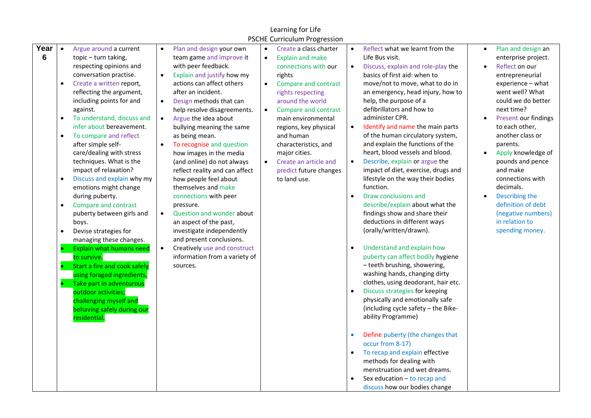|           |                                                                                         |                                                                                                                                                                                                                                                                                                                                                                                                                                                                                                                                                                                                                                                                                                                                                                                                                                      |                                                                                                                                                                                                                                                                                                                                                                                                                                                                                                                                                                                                                                                                                                                                                                                                     | Learning for Life                                                                                                                                                                                                                                                                                                                                                                                                     |                                                                                                                                                                                                                                                                                                                                                                                                                                                                                                                                                                                                                                                                                                                                                                                                                                                                                                                                                                                                                                                                                                                                                                                                                                                                                                                                                                                                                                                                                                                                                                                                                                   |
|-----------|-----------------------------------------------------------------------------------------|--------------------------------------------------------------------------------------------------------------------------------------------------------------------------------------------------------------------------------------------------------------------------------------------------------------------------------------------------------------------------------------------------------------------------------------------------------------------------------------------------------------------------------------------------------------------------------------------------------------------------------------------------------------------------------------------------------------------------------------------------------------------------------------------------------------------------------------|-----------------------------------------------------------------------------------------------------------------------------------------------------------------------------------------------------------------------------------------------------------------------------------------------------------------------------------------------------------------------------------------------------------------------------------------------------------------------------------------------------------------------------------------------------------------------------------------------------------------------------------------------------------------------------------------------------------------------------------------------------------------------------------------------------|-----------------------------------------------------------------------------------------------------------------------------------------------------------------------------------------------------------------------------------------------------------------------------------------------------------------------------------------------------------------------------------------------------------------------|-----------------------------------------------------------------------------------------------------------------------------------------------------------------------------------------------------------------------------------------------------------------------------------------------------------------------------------------------------------------------------------------------------------------------------------------------------------------------------------------------------------------------------------------------------------------------------------------------------------------------------------------------------------------------------------------------------------------------------------------------------------------------------------------------------------------------------------------------------------------------------------------------------------------------------------------------------------------------------------------------------------------------------------------------------------------------------------------------------------------------------------------------------------------------------------------------------------------------------------------------------------------------------------------------------------------------------------------------------------------------------------------------------------------------------------------------------------------------------------------------------------------------------------------------------------------------------------------------------------------------------------|
|           |                                                                                         |                                                                                                                                                                                                                                                                                                                                                                                                                                                                                                                                                                                                                                                                                                                                                                                                                                      |                                                                                                                                                                                                                                                                                                                                                                                                                                                                                                                                                                                                                                                                                                                                                                                                     | <b>PSCHE Curriculum Progression</b>                                                                                                                                                                                                                                                                                                                                                                                   |                                                                                                                                                                                                                                                                                                                                                                                                                                                                                                                                                                                                                                                                                                                                                                                                                                                                                                                                                                                                                                                                                                                                                                                                                                                                                                                                                                                                                                                                                                                                                                                                                                   |
| Year<br>6 | $\bullet$<br>$\bullet$<br>$\bullet$<br>$\bullet$<br>$\bullet$<br>$\bullet$<br>$\bullet$ | Argue around a current<br>topic - turn taking,<br>respecting opinions and<br>conversation practise.<br>Create a written report,<br>reflecting the argument,<br>including points for and<br>against.<br>To understand, discuss and<br>infer about bereavement.<br>To compare and reflect<br>after simple self-<br>care/dealing with stress<br>techniques. What is the<br>impact of relaxation?<br>Discuss and explain why my<br>emotions might change<br>during puberty.<br>Compare and contrast<br>puberty between girls and<br>boys.<br>Devise strategies for<br>managing these changes.<br><b>Explain what humans need</b><br>to survive.<br>Start a fire and cook safely<br>using foraged ingredients.<br>Take part in adventurous<br>outdoor activities;<br>challenging myself and<br>behaving safely during our<br>residential. | Plan and design your own<br>$\bullet$<br>team game and improve it<br>with peer feedback.<br>Explain and justify how my<br>$\bullet$<br>actions can affect others<br>after an incident.<br>$\bullet$<br>Design methods that can<br>help resolve disagreements.<br>Argue the idea about<br>$\bullet$<br>bullying meaning the same<br>as being mean.<br>To recognise and question<br>$\bullet$<br>how images in the media<br>(and online) do not always<br>reflect reality and can affect<br>how people feel about<br>themselves and make<br>connections with peer<br>pressure.<br>Question and wonder about<br>$\bullet$<br>an aspect of the past,<br>investigate independently<br>and present conclusions.<br>Creatively use and construct<br>$\bullet$<br>information from a variety of<br>sources. | Create a class charter<br>$\bullet$<br><b>Explain and make</b><br>$\bullet$<br>connections with our<br>rights<br>Compare and contrast<br>$\bullet$<br>rights respecting<br>around the world<br>Compare and contrast<br>$\bullet$<br>main environmental<br>regions, key physical<br>and human<br>characteristics, and<br>major cities.<br>Create an article and<br>$\bullet$<br>predict future changes<br>to land use. | Reflect what we learnt from the<br>Plan and design an<br>$\bullet$<br>$\bullet$<br>Life Bus visit.<br>enterprise project.<br>Discuss, explain and role-play the<br>Reflect on our<br>$\bullet$<br>$\bullet$<br>basics of first aid: when to<br>entrepreneurial<br>move/not to move, what to do in<br>experience - what<br>went well? What<br>an emergency, head injury, how to<br>help, the purpose of a<br>could we do better<br>defibrillators and how to<br>next time?<br>administer CPR.<br><b>Present our findings</b><br>Identify and name the main parts<br>to each other,<br>$\bullet$<br>of the human circulatory system,<br>another class or<br>and explain the functions of the<br>parents.<br>heart, blood vessels and blood.<br>Apply knowledge of<br>Describe, explain or argue the<br>pounds and pence<br>and make<br>impact of diet, exercise, drugs and<br>lifestyle on the way their bodies<br>connections with<br>function.<br>decimals.<br>Draw conclusions and<br>Describing the<br>$\bullet$<br>describe/explain about what the<br>definition of debt<br>findings show and share their<br>(negative numbers)<br>deductions in different ways<br>in relation to<br>(orally/written/drawn).<br>spending money.<br>Understand and explain how<br>$\bullet$<br>puberty can affect bodily hygiene<br>- teeth brushing, showering,<br>washing hands, changing dirty<br>clothes, using deodorant, hair etc.<br>Discuss strategies for keeping<br>physically and emotionally safe<br>(including cycle safety - the Bike-<br>ability Programme)<br>Define puberty (the changes that<br>$\bullet$<br>occur from 8-17) |
|           |                                                                                         |                                                                                                                                                                                                                                                                                                                                                                                                                                                                                                                                                                                                                                                                                                                                                                                                                                      |                                                                                                                                                                                                                                                                                                                                                                                                                                                                                                                                                                                                                                                                                                                                                                                                     |                                                                                                                                                                                                                                                                                                                                                                                                                       | To recap and explain effective<br>methods for dealing with<br>menstruation and wet dreams.<br>Sex education - to recap and<br>discuss how our bodies change                                                                                                                                                                                                                                                                                                                                                                                                                                                                                                                                                                                                                                                                                                                                                                                                                                                                                                                                                                                                                                                                                                                                                                                                                                                                                                                                                                                                                                                                       |